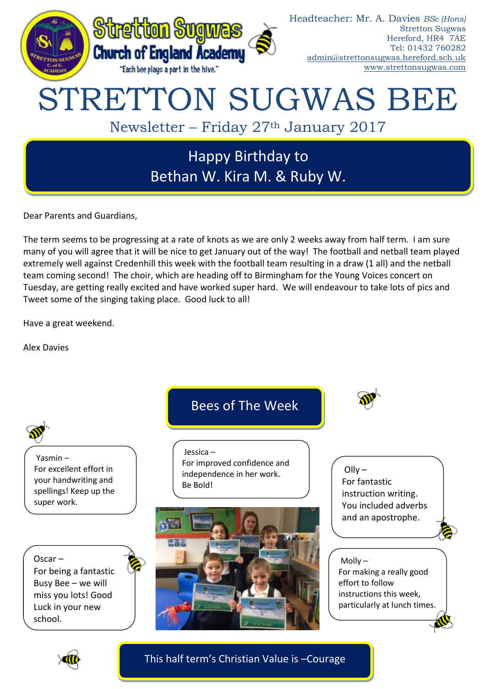

Dear Parents and Guardians,

The term seems to be progressing at a rate of knots as we are only 2 weeks away from half term. I am sure many of you will agree that it will be nice to get January out of the way! The football and netball team played extremely well against Credenhill this week with the football team resulting in a draw (1 all) and the netball team coming second! The choir, which are heading off to Birmingham for the Young Voices concert on Tuesday, are getting really excited and have worked super hard. We will endeavour to take lots of pics and Tweet some of the singing taking place. Good luck to all!

Have a great weekend.

Alex Davies



This half term's Christian Value is –Courage